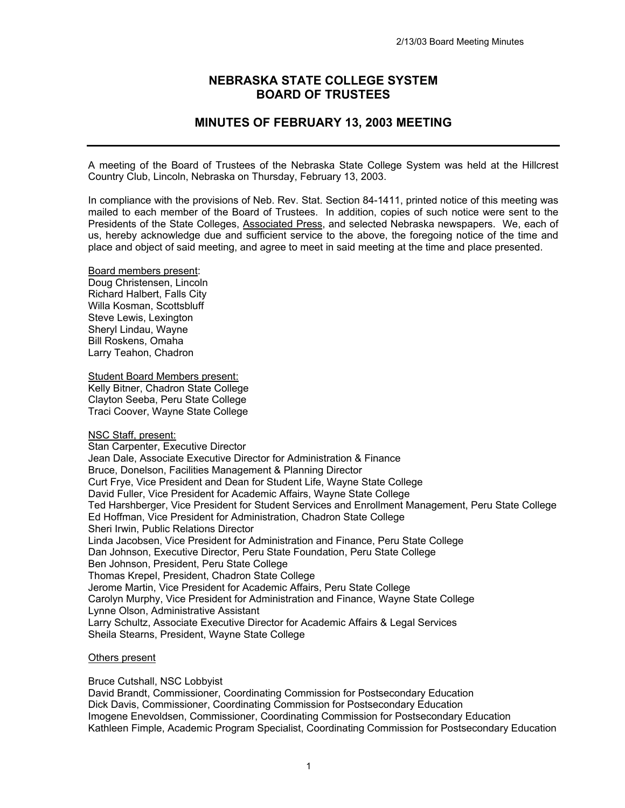# **NEBRASKA STATE COLLEGE SYSTEM BOARD OF TRUSTEES**

# **MINUTES OF FEBRUARY 13, 2003 MEETING**

A meeting of the Board of Trustees of the Nebraska State College System was held at the Hillcrest Country Club, Lincoln, Nebraska on Thursday, February 13, 2003.

In compliance with the provisions of Neb. Rev. Stat. Section 84-1411, printed notice of this meeting was mailed to each member of the Board of Trustees. In addition, copies of such notice were sent to the Presidents of the State Colleges, Associated Press, and selected Nebraska newspapers. We, each of us, hereby acknowledge due and sufficient service to the above, the foregoing notice of the time and place and object of said meeting, and agree to meet in said meeting at the time and place presented.

Board members present: Doug Christensen, Lincoln Richard Halbert, Falls City Willa Kosman, Scottsbluff Steve Lewis, Lexington Sheryl Lindau, Wayne Bill Roskens, Omaha Larry Teahon, Chadron

Student Board Members present: Kelly Bitner, Chadron State College Clayton Seeba, Peru State College Traci Coover, Wayne State College

NSC Staff, present:

Stan Carpenter, Executive Director Jean Dale, Associate Executive Director for Administration & Finance Bruce, Donelson, Facilities Management & Planning Director Curt Frye, Vice President and Dean for Student Life, Wayne State College David Fuller, Vice President for Academic Affairs, Wayne State College Ted Harshberger, Vice President for Student Services and Enrollment Management, Peru State College Ed Hoffman, Vice President for Administration, Chadron State College Sheri Irwin, Public Relations Director Linda Jacobsen, Vice President for Administration and Finance, Peru State College Dan Johnson, Executive Director, Peru State Foundation, Peru State College Ben Johnson, President, Peru State College Thomas Krepel, President, Chadron State College Jerome Martin, Vice President for Academic Affairs, Peru State College Carolyn Murphy, Vice President for Administration and Finance, Wayne State College Lynne Olson, Administrative Assistant Larry Schultz, Associate Executive Director for Academic Affairs & Legal Services Sheila Stearns, President, Wayne State College

#### Others present

Bruce Cutshall, NSC Lobbyist

David Brandt, Commissioner, Coordinating Commission for Postsecondary Education Dick Davis, Commissioner, Coordinating Commission for Postsecondary Education Imogene Enevoldsen, Commissioner, Coordinating Commission for Postsecondary Education Kathleen Fimple, Academic Program Specialist, Coordinating Commission for Postsecondary Education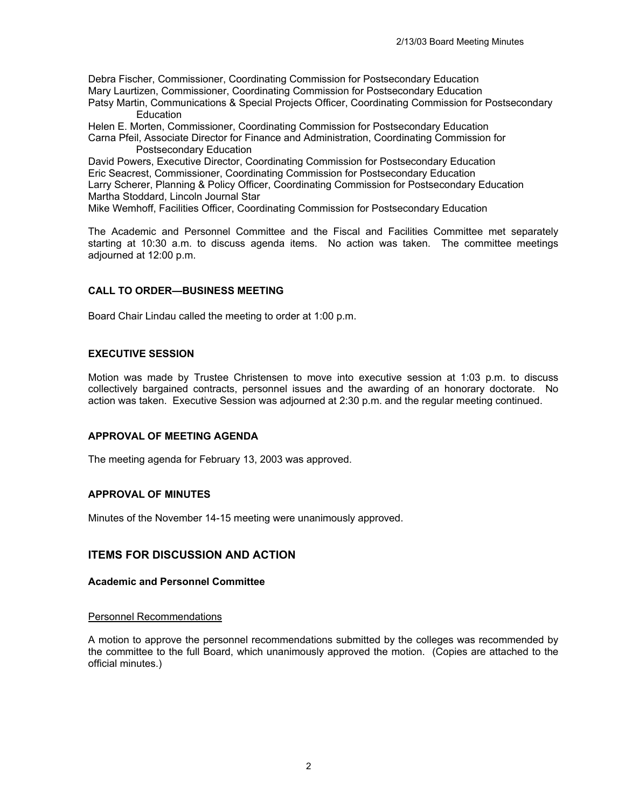Debra Fischer, Commissioner, Coordinating Commission for Postsecondary Education Mary Laurtizen, Commissioner, Coordinating Commission for Postsecondary Education Patsy Martin, Communications & Special Projects Officer, Coordinating Commission for Postsecondary

**Education** Helen E. Morten, Commissioner, Coordinating Commission for Postsecondary Education Carna Pfeil, Associate Director for Finance and Administration, Coordinating Commission for Postsecondary Education

David Powers, Executive Director, Coordinating Commission for Postsecondary Education Eric Seacrest, Commissioner, Coordinating Commission for Postsecondary Education Larry Scherer, Planning & Policy Officer, Coordinating Commission for Postsecondary Education Martha Stoddard, Lincoln Journal Star

Mike Wemhoff, Facilities Officer, Coordinating Commission for Postsecondary Education

The Academic and Personnel Committee and the Fiscal and Facilities Committee met separately starting at 10:30 a.m. to discuss agenda items. No action was taken. The committee meetings adjourned at 12:00 p.m.

# **CALL TO ORDER—BUSINESS MEETING**

Board Chair Lindau called the meeting to order at 1:00 p.m.

# **EXECUTIVE SESSION**

Motion was made by Trustee Christensen to move into executive session at 1:03 p.m. to discuss collectively bargained contracts, personnel issues and the awarding of an honorary doctorate. No action was taken. Executive Session was adjourned at 2:30 p.m. and the regular meeting continued.

# **APPROVAL OF MEETING AGENDA**

The meeting agenda for February 13, 2003 was approved.

# **APPROVAL OF MINUTES**

Minutes of the November 14-15 meeting were unanimously approved.

# **ITEMS FOR DISCUSSION AND ACTION**

#### **Academic and Personnel Committee**

#### Personnel Recommendations

A motion to approve the personnel recommendations submitted by the colleges was recommended by the committee to the full Board, which unanimously approved the motion. (Copies are attached to the official minutes.)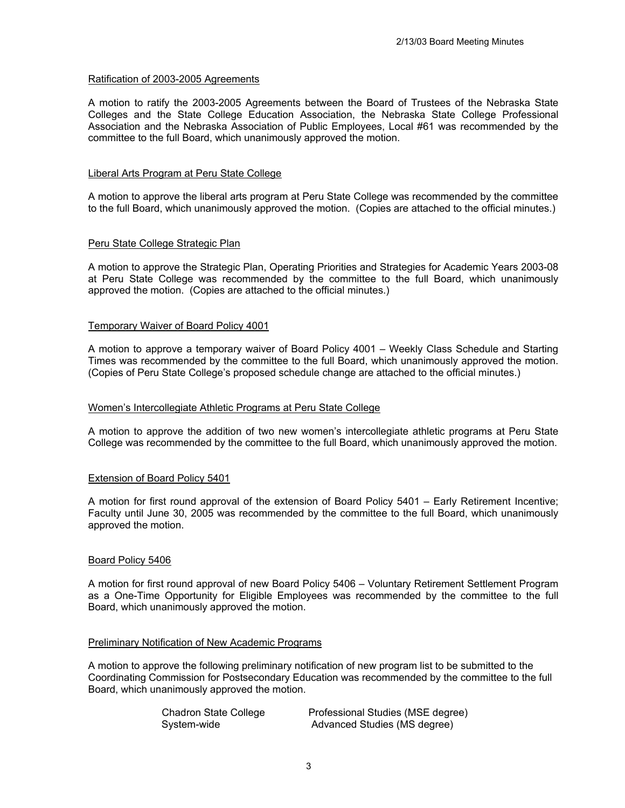### Ratification of 2003-2005 Agreements

A motion to ratify the 2003-2005 Agreements between the Board of Trustees of the Nebraska State Colleges and the State College Education Association, the Nebraska State College Professional Association and the Nebraska Association of Public Employees, Local #61 was recommended by the committee to the full Board, which unanimously approved the motion.

### Liberal Arts Program at Peru State College

A motion to approve the liberal arts program at Peru State College was recommended by the committee to the full Board, which unanimously approved the motion. (Copies are attached to the official minutes.)

# Peru State College Strategic Plan

A motion to approve the Strategic Plan, Operating Priorities and Strategies for Academic Years 2003-08 at Peru State College was recommended by the committee to the full Board, which unanimously approved the motion. (Copies are attached to the official minutes.)

# Temporary Waiver of Board Policy 4001

A motion to approve a temporary waiver of Board Policy 4001 – Weekly Class Schedule and Starting Times was recommended by the committee to the full Board, which unanimously approved the motion. (Copies of Peru State College's proposed schedule change are attached to the official minutes.)

#### Women's Intercollegiate Athletic Programs at Peru State College

A motion to approve the addition of two new women's intercollegiate athletic programs at Peru State College was recommended by the committee to the full Board, which unanimously approved the motion.

#### Extension of Board Policy 5401

A motion for first round approval of the extension of Board Policy 5401 – Early Retirement Incentive; Faculty until June 30, 2005 was recommended by the committee to the full Board, which unanimously approved the motion.

#### Board Policy 5406

A motion for first round approval of new Board Policy 5406 – Voluntary Retirement Settlement Program as a One-Time Opportunity for Eligible Employees was recommended by the committee to the full Board, which unanimously approved the motion.

#### Preliminary Notification of New Academic Programs

A motion to approve the following preliminary notification of new program list to be submitted to the Coordinating Commission for Postsecondary Education was recommended by the committee to the full Board, which unanimously approved the motion.

| Chadron State College | Professional Studies (MSE degree) |
|-----------------------|-----------------------------------|
| System-wide           | Advanced Studies (MS degree)      |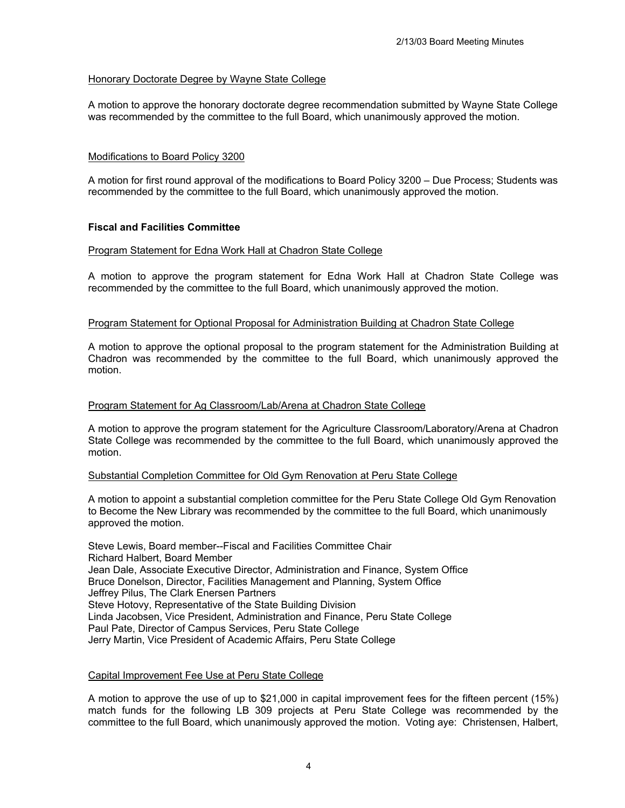# Honorary Doctorate Degree by Wayne State College

A motion to approve the honorary doctorate degree recommendation submitted by Wayne State College was recommended by the committee to the full Board, which unanimously approved the motion.

### Modifications to Board Policy 3200

A motion for first round approval of the modifications to Board Policy 3200 – Due Process; Students was recommended by the committee to the full Board, which unanimously approved the motion.

#### **Fiscal and Facilities Committee**

#### Program Statement for Edna Work Hall at Chadron State College

A motion to approve the program statement for Edna Work Hall at Chadron State College was recommended by the committee to the full Board, which unanimously approved the motion.

#### Program Statement for Optional Proposal for Administration Building at Chadron State College

A motion to approve the optional proposal to the program statement for the Administration Building at Chadron was recommended by the committee to the full Board, which unanimously approved the motion.

#### Program Statement for Ag Classroom/Lab/Arena at Chadron State College

A motion to approve the program statement for the Agriculture Classroom/Laboratory/Arena at Chadron State College was recommended by the committee to the full Board, which unanimously approved the motion.

### Substantial Completion Committee for Old Gym Renovation at Peru State College

A motion to appoint a substantial completion committee for the Peru State College Old Gym Renovation to Become the New Library was recommended by the committee to the full Board, which unanimously approved the motion.

Steve Lewis, Board member--Fiscal and Facilities Committee Chair Richard Halbert, Board Member Jean Dale, Associate Executive Director, Administration and Finance, System Office Bruce Donelson, Director, Facilities Management and Planning, System Office Jeffrey Pilus, The Clark Enersen Partners Steve Hotovy, Representative of the State Building Division Linda Jacobsen, Vice President, Administration and Finance, Peru State College Paul Pate, Director of Campus Services, Peru State College Jerry Martin, Vice President of Academic Affairs, Peru State College

#### Capital Improvement Fee Use at Peru State College

A motion to approve the use of up to \$21,000 in capital improvement fees for the fifteen percent (15%) match funds for the following LB 309 projects at Peru State College was recommended by the committee to the full Board, which unanimously approved the motion. Voting aye: Christensen, Halbert,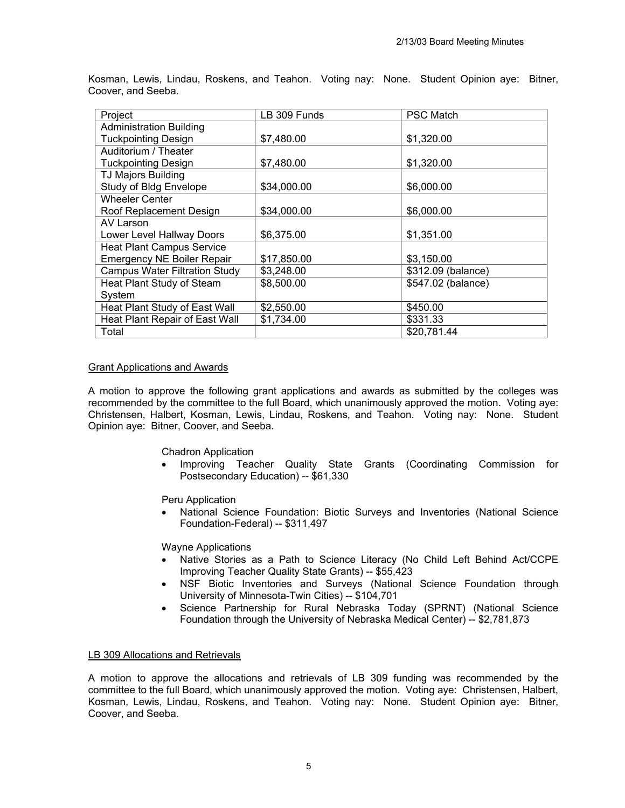| Project                              | LB 309 Funds | <b>PSC Match</b>   |
|--------------------------------------|--------------|--------------------|
| <b>Administration Building</b>       |              |                    |
| <b>Tuckpointing Design</b>           | \$7,480.00   | \$1,320.00         |
| Auditorium / Theater                 |              |                    |
| <b>Tuckpointing Design</b>           | \$7,480.00   | \$1,320.00         |
| <b>TJ Majors Building</b>            |              |                    |
| Study of Bldg Envelope               | \$34,000.00  | \$6,000.00         |
| <b>Wheeler Center</b>                |              |                    |
| Roof Replacement Design              | \$34,000.00  | \$6,000.00         |
| AV Larson                            |              |                    |
| Lower Level Hallway Doors            | \$6,375.00   | \$1,351.00         |
| <b>Heat Plant Campus Service</b>     |              |                    |
| <b>Emergency NE Boiler Repair</b>    | \$17,850.00  | \$3,150.00         |
| <b>Campus Water Filtration Study</b> | \$3,248.00   | \$312.09 (balance) |
| Heat Plant Study of Steam            | \$8,500.00   | \$547.02 (balance) |
| System                               |              |                    |
| Heat Plant Study of East Wall        | \$2,550.00   | \$450.00           |
| Heat Plant Repair of East Wall       | \$1,734.00   | \$331.33           |
| Total                                |              | \$20,781.44        |

Kosman, Lewis, Lindau, Roskens, and Teahon. Voting nay: None. Student Opinion aye: Bitner, Coover, and Seeba.

#### Grant Applications and Awards

A motion to approve the following grant applications and awards as submitted by the colleges was recommended by the committee to the full Board, which unanimously approved the motion. Voting aye: Christensen, Halbert, Kosman, Lewis, Lindau, Roskens, and Teahon. Voting nay: None. Student Opinion aye: Bitner, Coover, and Seeba.

Chadron Application

• Improving Teacher Quality State Grants (Coordinating Commission for Postsecondary Education) -- \$61,330

Peru Application

• National Science Foundation: Biotic Surveys and Inventories (National Science Foundation-Federal) -- \$311,497

Wayne Applications

- Native Stories as a Path to Science Literacy (No Child Left Behind Act/CCPE Improving Teacher Quality State Grants) -- \$55,423
- NSF Biotic Inventories and Surveys (National Science Foundation through University of Minnesota-Twin Cities) -- \$104,701
- Science Partnership for Rural Nebraska Today (SPRNT) (National Science Foundation through the University of Nebraska Medical Center) -- \$2,781,873

#### LB 309 Allocations and Retrievals

A motion to approve the allocations and retrievals of LB 309 funding was recommended by the committee to the full Board, which unanimously approved the motion. Voting aye: Christensen, Halbert, Kosman, Lewis, Lindau, Roskens, and Teahon. Voting nay: None. Student Opinion aye: Bitner, Coover, and Seeba.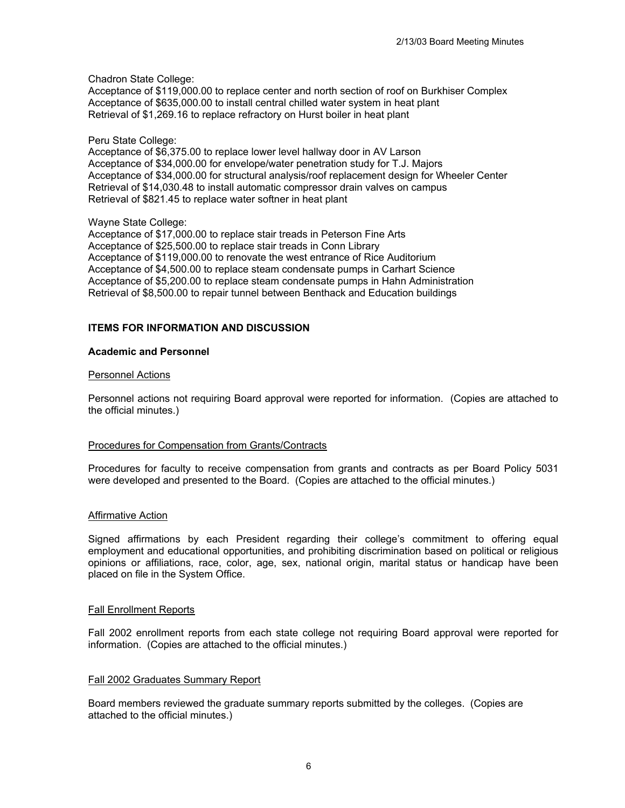Chadron State College:

Acceptance of \$119,000.00 to replace center and north section of roof on Burkhiser Complex Acceptance of \$635,000.00 to install central chilled water system in heat plant Retrieval of \$1,269.16 to replace refractory on Hurst boiler in heat plant

### Peru State College:

Acceptance of \$6,375.00 to replace lower level hallway door in AV Larson Acceptance of \$34,000.00 for envelope/water penetration study for T.J. Majors Acceptance of \$34,000.00 for structural analysis/roof replacement design for Wheeler Center Retrieval of \$14,030.48 to install automatic compressor drain valves on campus Retrieval of \$821.45 to replace water softner in heat plant

# Wayne State College:

Acceptance of \$17,000.00 to replace stair treads in Peterson Fine Arts Acceptance of \$25,500.00 to replace stair treads in Conn Library Acceptance of \$119,000.00 to renovate the west entrance of Rice Auditorium Acceptance of \$4,500.00 to replace steam condensate pumps in Carhart Science Acceptance of \$5,200.00 to replace steam condensate pumps in Hahn Administration Retrieval of \$8,500.00 to repair tunnel between Benthack and Education buildings

# **ITEMS FOR INFORMATION AND DISCUSSION**

# **Academic and Personnel**

#### Personnel Actions

Personnel actions not requiring Board approval were reported for information. (Copies are attached to the official minutes.)

#### Procedures for Compensation from Grants/Contracts

Procedures for faculty to receive compensation from grants and contracts as per Board Policy 5031 were developed and presented to the Board. (Copies are attached to the official minutes.)

#### Affirmative Action

Signed affirmations by each President regarding their college's commitment to offering equal employment and educational opportunities, and prohibiting discrimination based on political or religious opinions or affiliations, race, color, age, sex, national origin, marital status or handicap have been placed on file in the System Office.

#### Fall Enrollment Reports

Fall 2002 enrollment reports from each state college not requiring Board approval were reported for information. (Copies are attached to the official minutes.)

#### Fall 2002 Graduates Summary Report

Board members reviewed the graduate summary reports submitted by the colleges. (Copies are attached to the official minutes.)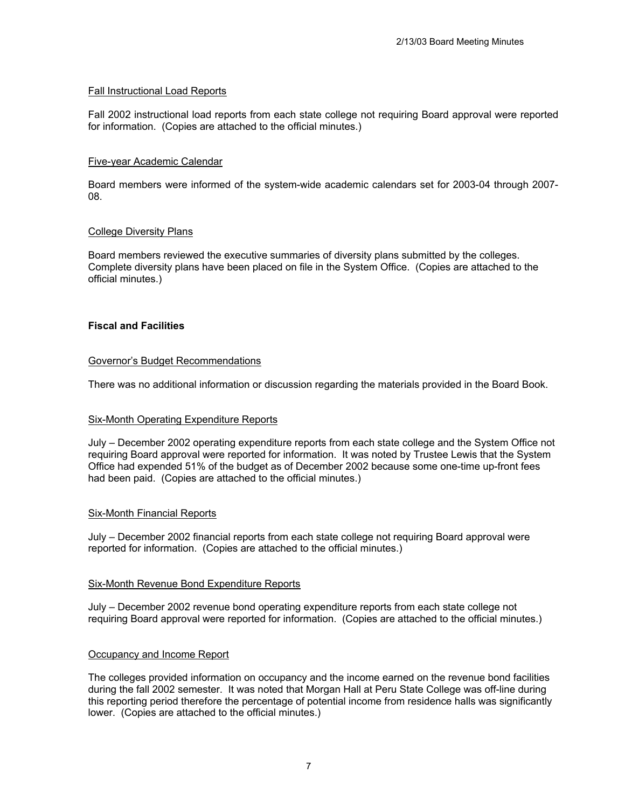# Fall Instructional Load Reports

Fall 2002 instructional load reports from each state college not requiring Board approval were reported for information. (Copies are attached to the official minutes.)

# Five-year Academic Calendar

Board members were informed of the system-wide academic calendars set for 2003-04 through 2007- 08.

# College Diversity Plans

Board members reviewed the executive summaries of diversity plans submitted by the colleges. Complete diversity plans have been placed on file in the System Office. (Copies are attached to the official minutes.)

# **Fiscal and Facilities**

#### Governor's Budget Recommendations

There was no additional information or discussion regarding the materials provided in the Board Book.

# Six-Month Operating Expenditure Reports

July – December 2002 operating expenditure reports from each state college and the System Office not requiring Board approval were reported for information. It was noted by Trustee Lewis that the System Office had expended 51% of the budget as of December 2002 because some one-time up-front fees had been paid. (Copies are attached to the official minutes.)

#### Six-Month Financial Reports

July – December 2002 financial reports from each state college not requiring Board approval were reported for information. (Copies are attached to the official minutes.)

#### Six-Month Revenue Bond Expenditure Reports

July – December 2002 revenue bond operating expenditure reports from each state college not requiring Board approval were reported for information. (Copies are attached to the official minutes.)

#### Occupancy and Income Report

The colleges provided information on occupancy and the income earned on the revenue bond facilities during the fall 2002 semester. It was noted that Morgan Hall at Peru State College was off-line during this reporting period therefore the percentage of potential income from residence halls was significantly lower. (Copies are attached to the official minutes.)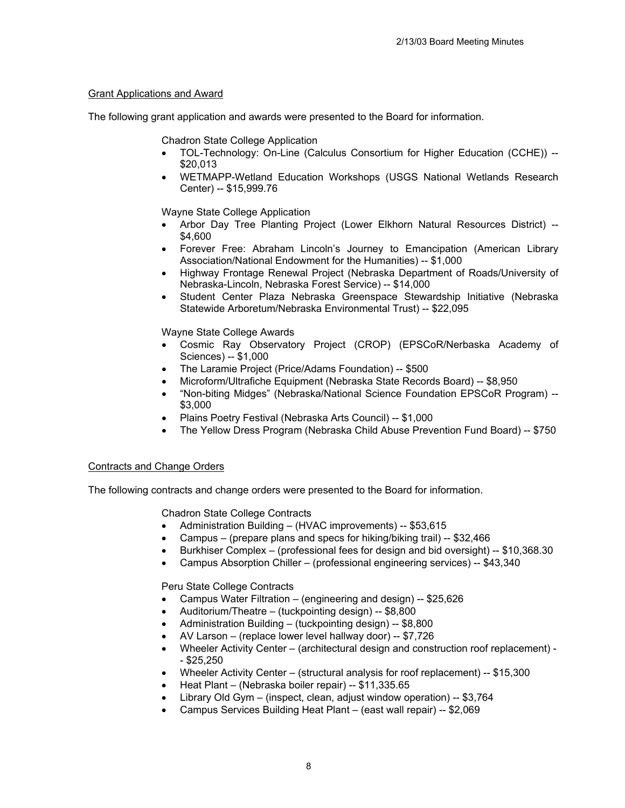# Grant Applications and Award

The following grant application and awards were presented to the Board for information.

Chadron State College Application

- TOL-Technology: On-Line (Calculus Consortium for Higher Education (CCHE)) -- \$20,013
- WETMAPP-Wetland Education Workshops (USGS National Wetlands Research Center) -- \$15,999.76

Wayne State College Application

- Arbor Day Tree Planting Project (Lower Elkhorn Natural Resources District) -- \$4,600
- Forever Free: Abraham Lincoln's Journey to Emancipation (American Library Association/National Endowment for the Humanities) -- \$1,000
- Highway Frontage Renewal Project (Nebraska Department of Roads/University of Nebraska-Lincoln, Nebraska Forest Service) -- \$14,000
- Student Center Plaza Nebraska Greenspace Stewardship Initiative (Nebraska Statewide Arboretum/Nebraska Environmental Trust) -- \$22,095

Wayne State College Awards

- Cosmic Ray Observatory Project (CROP) (EPSCoR/Nerbaska Academy of Sciences) -- \$1,000
- The Laramie Project (Price/Adams Foundation) -- \$500
- Microform/Ultrafiche Equipment (Nebraska State Records Board) -- \$8,950
- "Non-biting Midges" (Nebraska/National Science Foundation EPSCoR Program) -- \$3,000
- Plains Poetry Festival (Nebraska Arts Council) -- \$1,000
- The Yellow Dress Program (Nebraska Child Abuse Prevention Fund Board) -- \$750

# Contracts and Change Orders

The following contracts and change orders were presented to the Board for information.

Chadron State College Contracts

- Administration Building (HVAC improvements) -- \$53,615
- Campus (prepare plans and specs for hiking/biking trail) -- \$32,466
- Burkhiser Complex (professional fees for design and bid oversight) -- \$10,368.30
- Campus Absorption Chiller (professional engineering services) -- \$43,340

Peru State College Contracts

- Campus Water Filtration (engineering and design) -- \$25,626
- Auditorium/Theatre (tuckpointing design) -- \$8,800
- Administration Building (tuckpointing design) -- \$8,800
- AV Larson (replace lower level hallway door) -- \$7,726
- Wheeler Activity Center (architectural design and construction roof replacement) - \$25,250
- Wheeler Activity Center (structural analysis for roof replacement) -- \$15,300
- Heat Plant (Nebraska boiler repair) -- \$11,335.65
- Library Old Gym (inspect, clean, adjust window operation) -- \$3,764
- Campus Services Building Heat Plant (east wall repair) -- \$2,069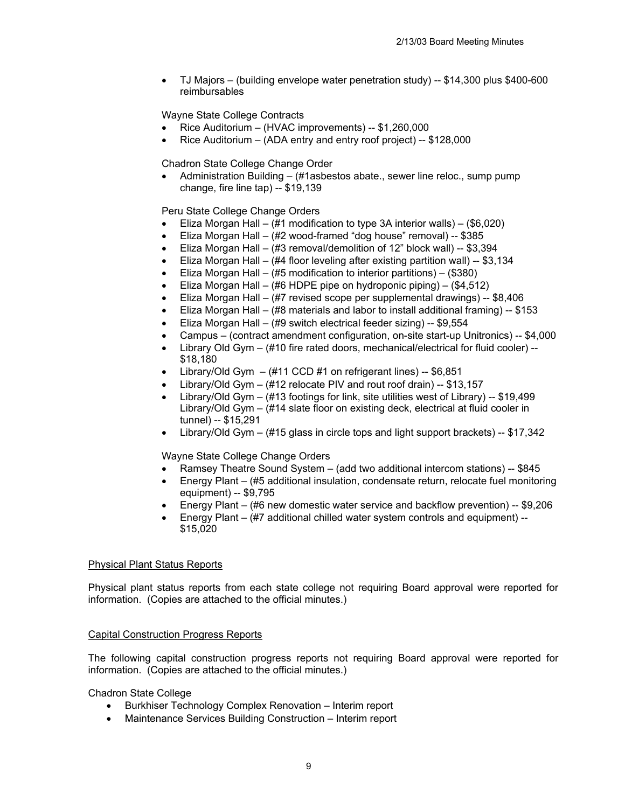• TJ Majors – (building envelope water penetration study) -- \$14,300 plus \$400-600 reimbursables

Wayne State College Contracts

- Rice Auditorium (HVAC improvements) -- \$1,260,000
- Rice Auditorium (ADA entry and entry roof project) -- \$128,000

Chadron State College Change Order

• Administration Building – (#1asbestos abate., sewer line reloc., sump pump change, fire line tap) -- \$19,139

Peru State College Change Orders

- Eliza Morgan Hall  $(\#1 \text{ modification to type 3A interior walls}) (\$6,020)$
- Eliza Morgan Hall (#2 wood-framed "dog house" removal) -- \$385
- Eliza Morgan Hall (#3 removal/demolition of 12" block wall) -- \$3,394
- Eliza Morgan Hall (#4 floor leveling after existing partition wall) -- \$3,134
- Eliza Morgan Hall (#5 modification to interior partitions) (\$380)
- Eliza Morgan Hall (#6 HDPE pipe on hydroponic piping) (\$4,512)
- Eliza Morgan Hall (#7 revised scope per supplemental drawings) -- \$8,406
- Eliza Morgan Hall (#8 materials and labor to install additional framing) -- \$153
- Eliza Morgan Hall (#9 switch electrical feeder sizing) -- \$9,554
- Campus (contract amendment configuration, on-site start-up Unitronics) -- \$4,000
- Library Old Gym (#10 fire rated doors, mechanical/electrical for fluid cooler) --\$18,180
- Library/Old Gym  $-$  (#11 CCD #1 on refrigerant lines)  $-$  \$6,851
- Library/Old Gym (#12 relocate PIV and rout roof drain) -- \$13,157
- Library/Old Gym  $(\#13$  footings for link, site utilities west of Library) -- \$19,499 Library/Old Gym – (#14 slate floor on existing deck, electrical at fluid cooler in tunnel) -- \$15,291
- Library/Old Gym (#15 glass in circle tops and light support brackets) -- \$17,342

Wayne State College Change Orders

- Ramsey Theatre Sound System (add two additional intercom stations) -- \$845
- Energy Plant (#5 additional insulation, condensate return, relocate fuel monitoring equipment) -- \$9,795
- Energy Plant (#6 new domestic water service and backflow prevention) -- \$9,206
- Energy Plant (#7 additional chilled water system controls and equipment) -- \$15,020

#### Physical Plant Status Reports

Physical plant status reports from each state college not requiring Board approval were reported for information. (Copies are attached to the official minutes.)

#### Capital Construction Progress Reports

The following capital construction progress reports not requiring Board approval were reported for information. (Copies are attached to the official minutes.)

Chadron State College

- Burkhiser Technology Complex Renovation Interim report
- Maintenance Services Building Construction Interim report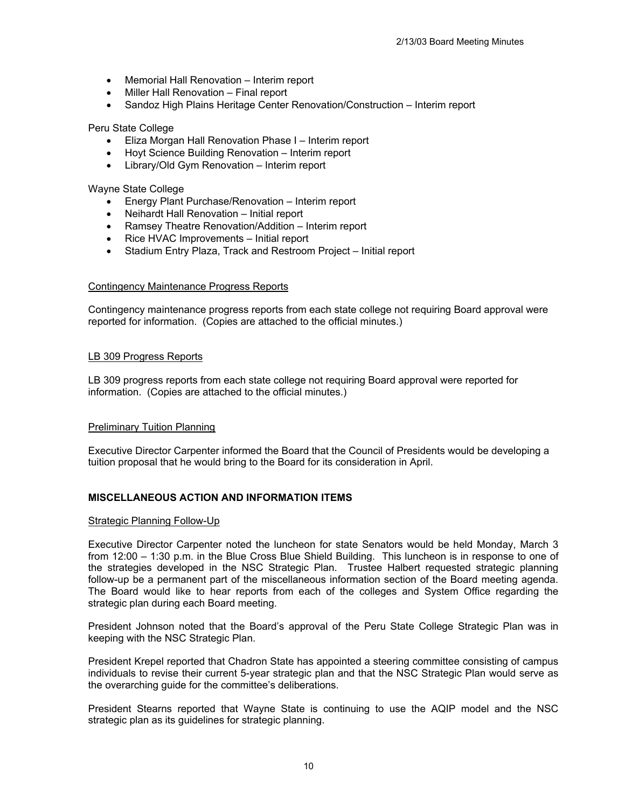- Memorial Hall Renovation Interim report
- Miller Hall Renovation Final report
- Sandoz High Plains Heritage Center Renovation/Construction Interim report

#### Peru State College

- Eliza Morgan Hall Renovation Phase I Interim report
- Hoyt Science Building Renovation Interim report
- Library/Old Gym Renovation Interim report

Wayne State College

- Energy Plant Purchase/Renovation Interim report
- Neihardt Hall Renovation Initial report
- Ramsey Theatre Renovation/Addition Interim report
- Rice HVAC Improvements Initial report
- Stadium Entry Plaza, Track and Restroom Project Initial report

#### Contingency Maintenance Progress Reports

Contingency maintenance progress reports from each state college not requiring Board approval were reported for information. (Copies are attached to the official minutes.)

#### LB 309 Progress Reports

LB 309 progress reports from each state college not requiring Board approval were reported for information. (Copies are attached to the official minutes.)

#### Preliminary Tuition Planning

Executive Director Carpenter informed the Board that the Council of Presidents would be developing a tuition proposal that he would bring to the Board for its consideration in April.

#### **MISCELLANEOUS ACTION AND INFORMATION ITEMS**

#### Strategic Planning Follow-Up

Executive Director Carpenter noted the luncheon for state Senators would be held Monday, March 3 from 12:00 – 1:30 p.m. in the Blue Cross Blue Shield Building. This luncheon is in response to one of the strategies developed in the NSC Strategic Plan. Trustee Halbert requested strategic planning follow-up be a permanent part of the miscellaneous information section of the Board meeting agenda. The Board would like to hear reports from each of the colleges and System Office regarding the strategic plan during each Board meeting.

President Johnson noted that the Board's approval of the Peru State College Strategic Plan was in keeping with the NSC Strategic Plan.

President Krepel reported that Chadron State has appointed a steering committee consisting of campus individuals to revise their current 5-year strategic plan and that the NSC Strategic Plan would serve as the overarching guide for the committee's deliberations.

President Stearns reported that Wayne State is continuing to use the AQIP model and the NSC strategic plan as its guidelines for strategic planning.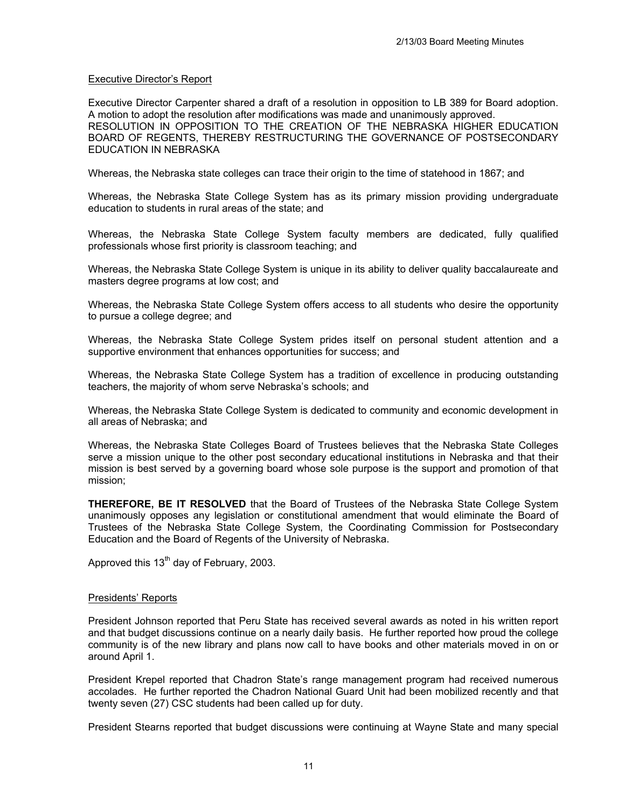# Executive Director's Report

Executive Director Carpenter shared a draft of a resolution in opposition to LB 389 for Board adoption. A motion to adopt the resolution after modifications was made and unanimously approved. RESOLUTION IN OPPOSITION TO THE CREATION OF THE NEBRASKA HIGHER EDUCATION BOARD OF REGENTS, THEREBY RESTRUCTURING THE GOVERNANCE OF POSTSECONDARY EDUCATION IN NEBRASKA

Whereas, the Nebraska state colleges can trace their origin to the time of statehood in 1867; and

Whereas, the Nebraska State College System has as its primary mission providing undergraduate education to students in rural areas of the state; and

Whereas, the Nebraska State College System faculty members are dedicated, fully qualified professionals whose first priority is classroom teaching; and

Whereas, the Nebraska State College System is unique in its ability to deliver quality baccalaureate and masters degree programs at low cost; and

Whereas, the Nebraska State College System offers access to all students who desire the opportunity to pursue a college degree; and

Whereas, the Nebraska State College System prides itself on personal student attention and a supportive environment that enhances opportunities for success; and

Whereas, the Nebraska State College System has a tradition of excellence in producing outstanding teachers, the majority of whom serve Nebraska's schools; and

Whereas, the Nebraska State College System is dedicated to community and economic development in all areas of Nebraska; and

Whereas, the Nebraska State Colleges Board of Trustees believes that the Nebraska State Colleges serve a mission unique to the other post secondary educational institutions in Nebraska and that their mission is best served by a governing board whose sole purpose is the support and promotion of that mission;

**THEREFORE, BE IT RESOLVED** that the Board of Trustees of the Nebraska State College System unanimously opposes any legislation or constitutional amendment that would eliminate the Board of Trustees of the Nebraska State College System, the Coordinating Commission for Postsecondary Education and the Board of Regents of the University of Nebraska.

Approved this 13<sup>th</sup> day of February, 2003.

#### Presidents' Reports

President Johnson reported that Peru State has received several awards as noted in his written report and that budget discussions continue on a nearly daily basis. He further reported how proud the college community is of the new library and plans now call to have books and other materials moved in on or around April 1.

President Krepel reported that Chadron State's range management program had received numerous accolades. He further reported the Chadron National Guard Unit had been mobilized recently and that twenty seven (27) CSC students had been called up for duty.

President Stearns reported that budget discussions were continuing at Wayne State and many special